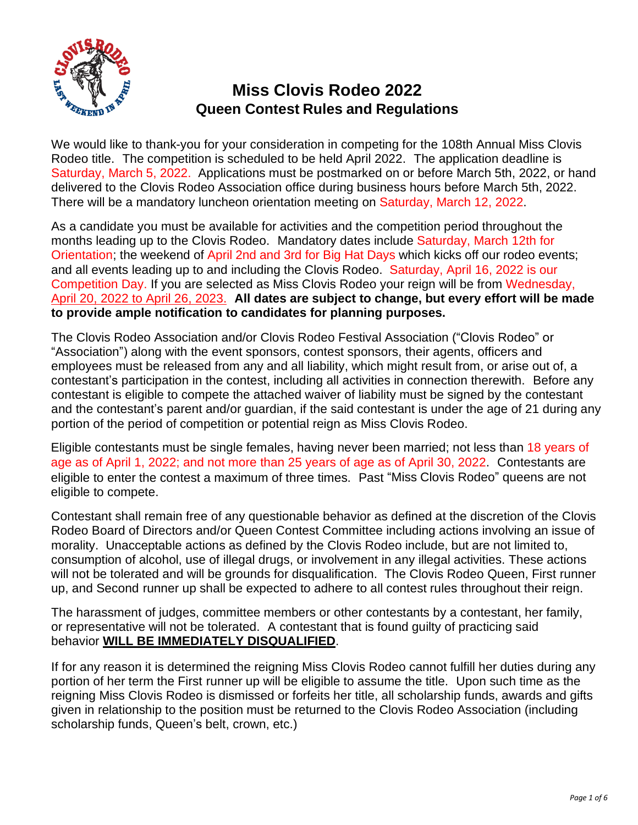

We would like to thank-you for your consideration in competing for the 108th Annual Miss Clovis Rodeo title. The competition is scheduled to be held April 2022. The application deadline is Saturday, March 5, 2022. Applications must be postmarked on or before March 5th, 2022, or hand delivered to the Clovis Rodeo Association office during business hours before March 5th, 2022. There will be a mandatory luncheon orientation meeting on Saturday, March 12, 2022.

As a candidate you must be available for activities and the competition period throughout the months leading up to the Clovis Rodeo. Mandatory dates include Saturday, March 12th for Orientation; the weekend of April 2nd and 3rd for Big Hat Days which kicks off our rodeo events; and all events leading up to and including the Clovis Rodeo. Saturday, April 16, 2022 is our Competition Day. If you are selected as Miss Clovis Rodeo your reign will be from Wednesday, April 20, 2022 to April 26, 2023. **All dates are subject to change, but every effort will be made to provide ample notification to candidates for planning purposes.**

The Clovis Rodeo Association and/or Clovis Rodeo Festival Association ("Clovis Rodeo" or "Association") along with the event sponsors, contest sponsors, their agents, officers and employees must be released from any and all liability, which might result from, or arise out of, a contestant's participation in the contest, including all activities in connection therewith. Before any contestant is eligible to compete the attached waiver of liability must be signed by the contestant and the contestant's parent and/or guardian, if the said contestant is under the age of 21 during any portion of the period of competition or potential reign as Miss Clovis Rodeo.

Eligible contestants must be single females, having never been married; not less than 18 years of age as of April 1, 2022; and not more than 25 years of age as of April 30, 2022. Contestants are eligible to enter the contest a maximum of three times. Past "Miss Clovis Rodeo" queens are not eligible to compete.

Contestant shall remain free of any questionable behavior as defined at the discretion of the Clovis Rodeo Board of Directors and/or Queen Contest Committee including actions involving an issue of morality. Unacceptable actions as defined by the Clovis Rodeo include, but are not limited to, consumption of alcohol, use of illegal drugs, or involvement in any illegal activities. These actions will not be tolerated and will be grounds for disqualification. The Clovis Rodeo Queen, First runner up, and Second runner up shall be expected to adhere to all contest rules throughout their reign.

The harassment of judges, committee members or other contestants by a contestant, her family, or representative will not be tolerated. A contestant that is found guilty of practicing said behavior **WILL BE IMMEDIATELY DISQUALIFIED**.

If for any reason it is determined the reigning Miss Clovis Rodeo cannot fulfill her duties during any portion of her term the First runner up will be eligible to assume the title. Upon such time as the reigning Miss Clovis Rodeo is dismissed or forfeits her title, all scholarship funds, awards and gifts given in relationship to the position must be returned to the Clovis Rodeo Association (including scholarship funds, Queen's belt, crown, etc.)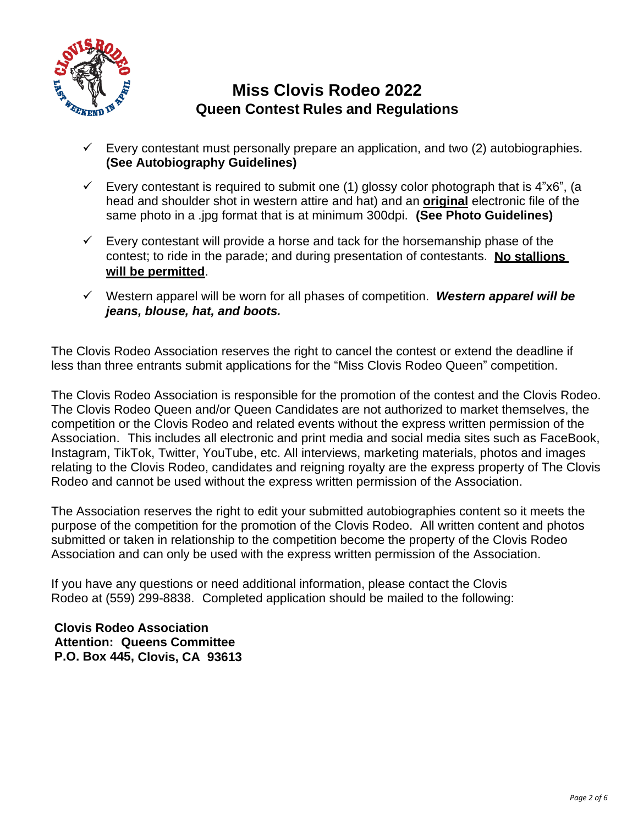

- $\checkmark$  Every contestant must personally prepare an application, and two (2) autobiographies. **(See Autobiography Guidelines)**
- $\checkmark$  Every contestant is required to submit one (1) glossy color photograph that is 4"x6", (a head and shoulder shot in western attire and hat) and an **original** electronic file of the same photo in a .jpg format that is at minimum 300dpi. **(See Photo Guidelines)**
- $\checkmark$  Every contestant will provide a horse and tack for the horsemanship phase of the contest; to ride in the parade; and during presentation of contestants. **No stallions will be permitted**.
- ✓ Western apparel will be worn for all phases of competition. *Western apparel will be jeans, blouse, hat, and boots.*

The Clovis Rodeo Association reserves the right to cancel the contest or extend the deadline if less than three entrants submit applications for the "Miss Clovis Rodeo Queen" competition.

The Clovis Rodeo Association is responsible for the promotion of the contest and the Clovis Rodeo. The Clovis Rodeo Queen and/or Queen Candidates are not authorized to market themselves, the competition or the Clovis Rodeo and related events without the express written permission of the Association. This includes all electronic and print media and social media sites such as FaceBook, Instagram, TikTok, Twitter, YouTube, etc. All interviews, marketing materials, photos and images relating to the Clovis Rodeo, candidates and reigning royalty are the express property of The Clovis Rodeo and cannot be used without the express written permission of the Association.

The Association reserves the right to edit your submitted autobiographies content so it meets the purpose of the competition for the promotion of the Clovis Rodeo. All written content and photos submitted or taken in relationship to the competition become the property of the Clovis Rodeo Association and can only be used with the express written permission of the Association.

If you have any questions or need additional information, please contact the Clovis Rodeo at (559) 299-8838. Completed application should be mailed to the following:

**Clovis Rodeo Association Attention: Queens Committee P.O. Box 445, Clovis, CA 93613**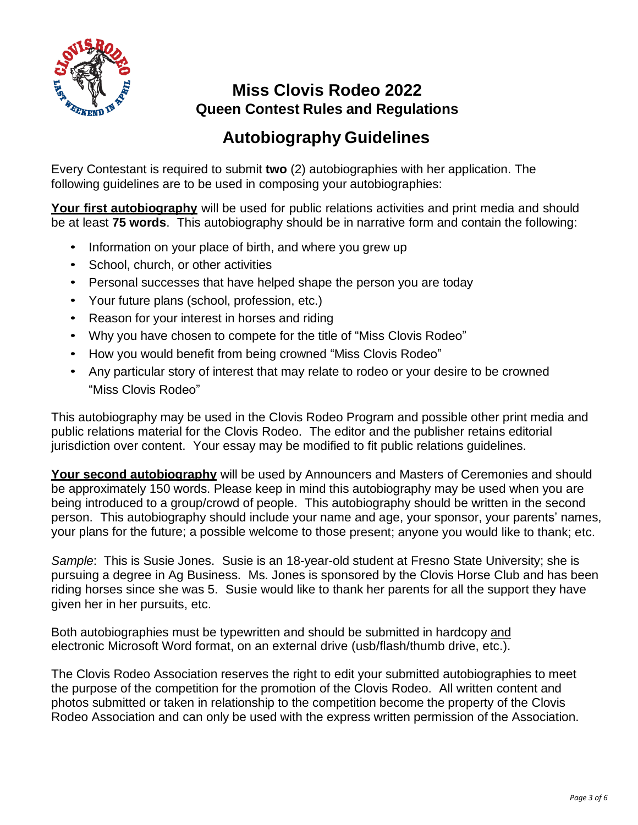

## **Autobiography Guidelines**

Every Contestant is required to submit **two** (2) autobiographies with her application. The following guidelines are to be used in composing your autobiographies:

**Your first autobiography** will be used for public relations activities and print media and should be at least **75 words**. This autobiography should be in narrative form and contain the following:

- Information on your place of birth, and where you grew up
- School, church, or other activities
- Personal successes that have helped shape the person you are today
- Your future plans (school, profession, etc.)
- Reason for your interest in horses and riding
- Why you have chosen to compete for the title of "Miss Clovis Rodeo"
- How you would benefit from being crowned "Miss Clovis Rodeo"
- Any particular story of interest that may relate to rodeo or your desire to be crowned "Miss Clovis Rodeo"

This autobiography may be used in the Clovis Rodeo Program and possible other print media and public relations material for the Clovis Rodeo. The editor and the publisher retains editorial jurisdiction over content. Your essay may be modified to fit public relations guidelines.

**Your second autobiography** will be used by Announcers and Masters of Ceremonies and should be approximately 150 words. Please keep in mind this autobiography may be used when you are being introduced to a group/crowd of people. This autobiography should be written in the second person. This autobiography should include your name and age, your sponsor, your parents' names, your plans for the future; a possible welcome to those present; anyone you would like to thank; etc.

*Sample*: This is Susie Jones. Susie is an 18-year-old student at Fresno State University; she is pursuing a degree in Ag Business. Ms. Jones is sponsored by the Clovis Horse Club and has been riding horses since she was 5. Susie would like to thank her parents for all the support they have given her in her pursuits, etc.

Both autobiographies must be typewritten and should be submitted in hardcopy and electronic Microsoft Word format, on an external drive (usb/flash/thumb drive, etc.).

The Clovis Rodeo Association reserves the right to edit your submitted autobiographies to meet the purpose of the competition for the promotion of the Clovis Rodeo. All written content and photos submitted or taken in relationship to the competition become the property of the Clovis Rodeo Association and can only be used with the express written permission of the Association.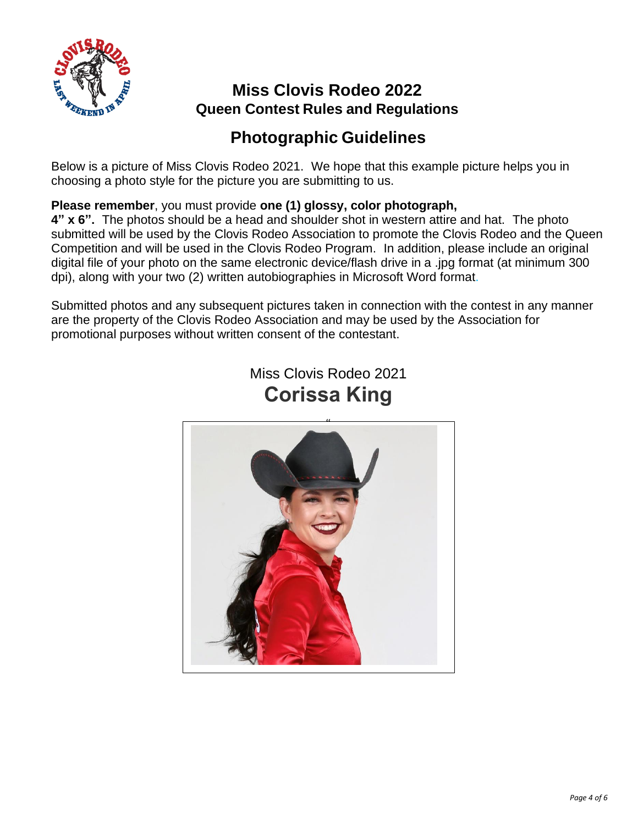

## **Photographic Guidelines**

Below is a picture of Miss Clovis Rodeo 2021. We hope that this example picture helps you in choosing a photo style for the picture you are submitting to us.

#### **Please remember**, you must provide **one (1) glossy, color photograph,**

**4" x 6".** The photos should be a head and shoulder shot in western attire and hat. The photo submitted will be used by the Clovis Rodeo Association to promote the Clovis Rodeo and the Queen Competition and will be used in the Clovis Rodeo Program. In addition, please include an original digital file of your photo on the same electronic device/flash drive in a .jpg format (at minimum 300 dpi), along with your two (2) written autobiographies in Microsoft Word format.

Submitted photos and any subsequent pictures taken in connection with the contest in any manner are the property of the Clovis Rodeo Association and may be used by the Association for promotional purposes without written consent of the contestant.



Miss Clovis Rodeo 2021 **Corissa King**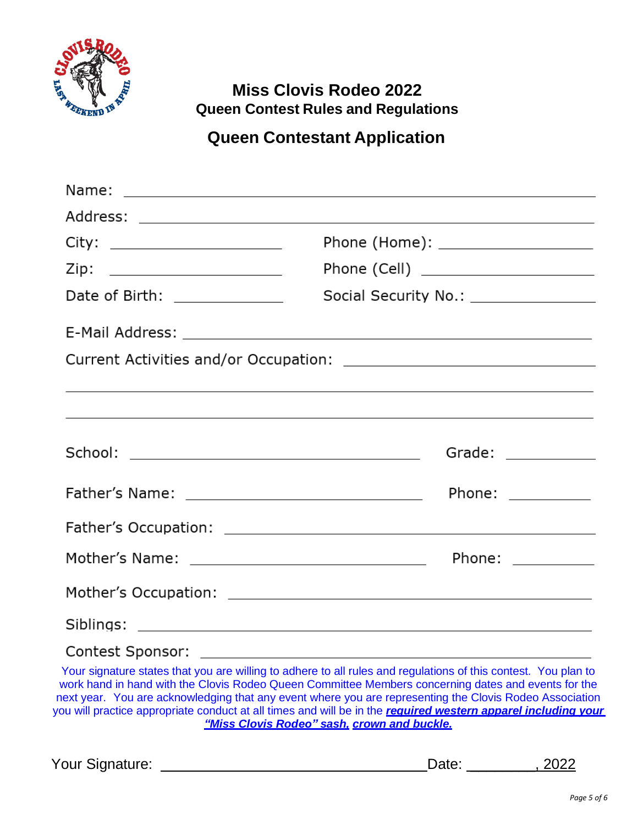

## **Queen Contestant Application**

| City: _______________________ | Phone (Home): ____________________                                                                                                                                                                                             |  |
|-------------------------------|--------------------------------------------------------------------------------------------------------------------------------------------------------------------------------------------------------------------------------|--|
| Zip: ________________________ | Phone (Cell) ________________________                                                                                                                                                                                          |  |
| Date of Birth: ______________ | Social Security No.: \\square\\sqrt{\sqrt{\sqrt{\sqrt{\sqrt{\sqrt{\sqrt{\sqrt{\sqrt{\sqrt{\sqrt{\sqrt{\sqrt{\sqrt{\sqrt{\sqrt{\sqrt{\sqrt{\sqrt{\sqrt{\sqrt{\sqrt{\sqrt{\sqrt{\sqrt{\sqrt{\sqrt{\sqrt{\sqrt{\sqrt{\sqrt{\sqrt{ |  |
|                               |                                                                                                                                                                                                                                |  |
|                               |                                                                                                                                                                                                                                |  |
|                               | <u> 1989 - Johann Stoff, amerikansk politiker (d. 1989)</u>                                                                                                                                                                    |  |
|                               | <u> 1989 - Johann Harry Barn, mars and deutscher Stadt and deutscher Stadt and deutscher Stadt and deutsche Stadt</u>                                                                                                          |  |
|                               | Grade: ______________                                                                                                                                                                                                          |  |
|                               | Phone: ___________                                                                                                                                                                                                             |  |
|                               |                                                                                                                                                                                                                                |  |
|                               |                                                                                                                                                                                                                                |  |
|                               |                                                                                                                                                                                                                                |  |
|                               |                                                                                                                                                                                                                                |  |
|                               | Your signature states that you are willing to adhere to all rules and requisitions of this contest. You plan to                                                                                                                |  |

u are willing to adhere to all rules and regulations of this contest. You plan to work hand in hand with the Clovis Rodeo Queen Committee Members concerning dates and events for the next year. You are acknowledging that any event where you are representing the Clovis Rodeo Association you will practice appropriate conduct at all times and will be in the *required western apparel including your "Miss Clovis Rodeo" sash, crown and buckle.*

Your Signature:  $\Box$  2022